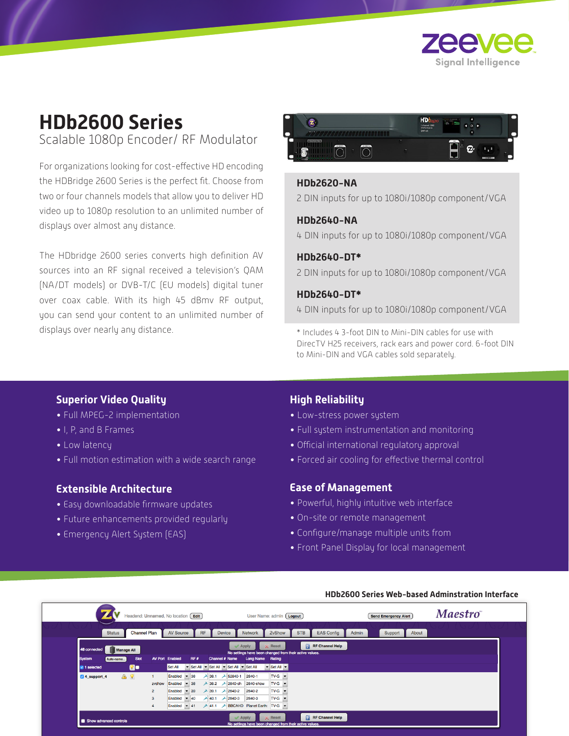

# **HDb2600 Series** Scalable 1080p Encoder/ RF Modulator

For organizations looking for cost-effective HD encoding the HDBridge 2600 Series is the perfect fit. Choose from two or four channels models that allow you to deliver HD video up to 1080p resolution to an unlimited number of displays over almost any distance.

The HDbridge 2600 series converts high definition AV sources into an RF signal received a television's QAM (NA/DT models) or DVB-T/C (EU models) digital tuner over coax cable. With its high 45 dBmv RF output, you can send your content to an unlimited number of displays over nearly any distance.



# **HDb2620-NA**

2 DIN inputs for up to 1080i/1080p component/VGA

# **HDb2640-NA**

4 DIN inputs for up to 1080i/1080p component/VGA

#### **HDb2640-DT\***

2 DIN inputs for up to 1080i/1080p component/VGA

# **HDb2640-DT\***

4 DIN inputs for up to 1080i/1080p component/VGA

\* Includes 4 3-foot DIN to Mini-DIN cables for use with DirecTV H25 receivers, rack ears and power cord. 6-foot DIN to Mini-DIN and VGA cables sold separately.

# **Superior Video Quality**

- Full MPEG-2 implementation
- I, P, and B Frames
- Low latency
- Full motion estimation with a wide search range

# **Extensible Architecture**

- Easy downloadable firmware updates
- Future enhancements provided regularly
- Emergency Alert System (EAS)

# **High Reliability**

- Low-stress power system
- Full system instrumentation and monitoring
- Official international regulatory approval
- Forced air cooling for effective thermal control

### **Ease of Management**

- Powerful, highly intuitive web interface
- On-site or remote management
- Configure/manage multiple units from
- Front Panel Display for local management



#### **HDb2600 Series Web-based Adminstration Interface**